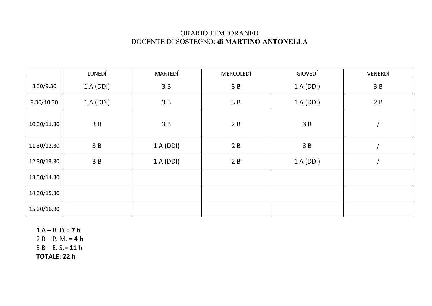## ORARIO TEMPORANEO DOCENTE DI SOSTEGNO: di MARTINO ANTONELLA

|             | LUNEDÍ    | MARTEDÍ | MERCOLEDÍ | GIOVEDÍ   | VENERDÍ |
|-------------|-----------|---------|-----------|-----------|---------|
| 8.30/9.30   | 1 A (DDI) | 3B      | 3B        | 1 A (DDI) | 3B      |
| 9.30/10.30  | 1 A (DDI) | 3B      | 3B        | 1A(DDI)   | 2B      |
| 10.30/11.30 | 3B        | 3B      | 2B        | 3B        |         |
| 11.30/12.30 | 3B        | 1A(DDI) | 2B        | 3B        |         |
| 12.30/13.30 | 3B        | 1A(DDI) | 2B        | 1 A (DDI) |         |
| 13.30/14.30 |           |         |           |           |         |
| 14.30/15.30 |           |         |           |           |         |
| 15.30/16.30 |           |         |           |           |         |

 $1 A - B. D = 7 h$  $2 B - P. M = 4 h$  $3 B - E. S = 11 h$ TOTALE: 22 h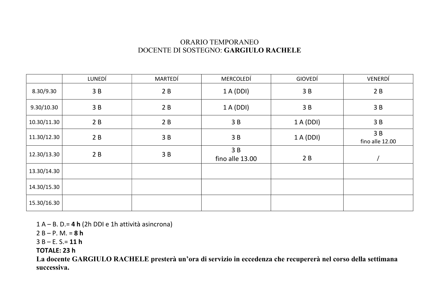## ORARIO TEMPORANEO DOCENTE DI SOSTEGNO: GARGIULO RACHELE

|             | LUNEDÍ | MARTEDÍ | MERCOLEDÍ             | GIOVEDÍ   | VENERDÍ               |
|-------------|--------|---------|-----------------------|-----------|-----------------------|
| 8.30/9.30   | 3B     | 2B      | 1 A (DDI)             | 3B        | 2B                    |
| 9.30/10.30  | 3B     | 2B      | 1 A (DDI)             | 3B        | 3B                    |
| 10.30/11.30 | 2B     | 2B      | 3B                    | 1 A (DDI) | 3B                    |
| 11.30/12.30 | 2B     | 3B      | 3B                    | 1 A (DDI) | 3B<br>fino alle 12.00 |
| 12.30/13.30 | 2B     | 3B      | 3B<br>fino alle 13.00 | 2B        |                       |
| 13.30/14.30 |        |         |                       |           |                       |
| 14.30/15.30 |        |         |                       |           |                       |
| 15.30/16.30 |        |         |                       |           |                       |

 $1 A - B$ . D.= 4 h (2h DDI e 1h attività asincrona)

 $2 B - P. M = 8 h$ 

 $3 B - E. S = 11 h$ 

TOTALE: 23 h

La docente GARGIULO RACHELE presterà un'ora di servizio in eccedenza che recupererà nel corso della settimana successiva.